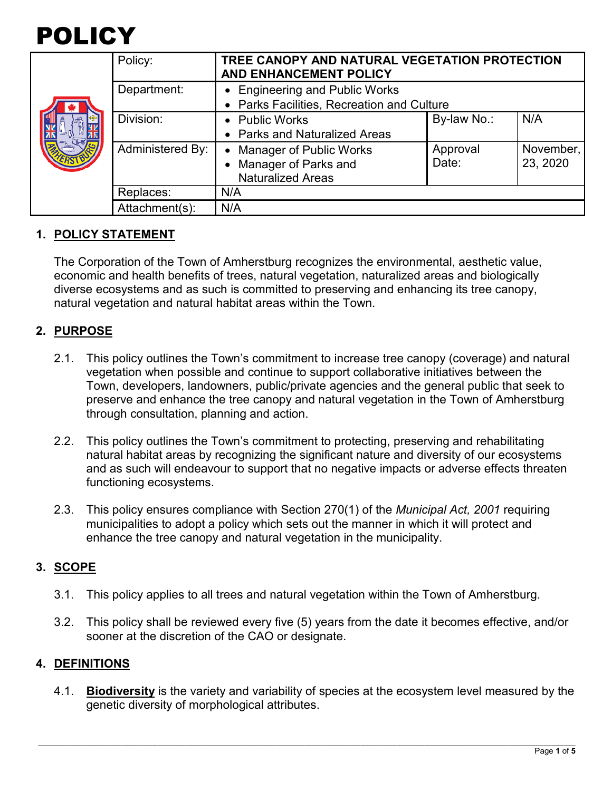

|  | Policy:          | TREE CANOPY AND NATURAL VEGETATION PROTECTION<br><b>AND ENHANCEMENT POLICY</b> |             |           |
|--|------------------|--------------------------------------------------------------------------------|-------------|-----------|
|  | Department:      | • Engineering and Public Works                                                 |             |           |
|  |                  | • Parks Facilities, Recreation and Culture                                     |             |           |
|  | Division:        | • Public Works                                                                 | By-law No.: | N/A       |
|  |                  | • Parks and Naturalized Areas                                                  |             |           |
|  | Administered By: | <b>Manager of Public Works</b><br>$\bullet$                                    | Approval    | November, |
|  |                  | • Manager of Parks and                                                         | Date:       | 23, 2020  |
|  |                  | <b>Naturalized Areas</b>                                                       |             |           |
|  | Replaces:        | N/A                                                                            |             |           |
|  | Attachment(s):   | N/A                                                                            |             |           |

### **1. POLICY STATEMENT**

The Corporation of the Town of Amherstburg recognizes the environmental, aesthetic value, economic and health benefits of trees, natural vegetation, naturalized areas and biologically diverse ecosystems and as such is committed to preserving and enhancing its tree canopy, natural vegetation and natural habitat areas within the Town.

#### **2. PURPOSE**

- 2.1. This policy outlines the Town's commitment to increase tree canopy (coverage) and natural vegetation when possible and continue to support collaborative initiatives between the Town, developers, landowners, public/private agencies and the general public that seek to preserve and enhance the tree canopy and natural vegetation in the Town of Amherstburg through consultation, planning and action.
- 2.2. This policy outlines the Town's commitment to protecting, preserving and rehabilitating natural habitat areas by recognizing the significant nature and diversity of our ecosystems and as such will endeavour to support that no negative impacts or adverse effects threaten functioning ecosystems.
- 2.3. This policy ensures compliance with Section 270(1) of the *Municipal Act, 2001* requiring municipalities to adopt a policy which sets out the manner in which it will protect and enhance the tree canopy and natural vegetation in the municipality.

## **3. SCOPE**

- 3.1. This policy applies to all trees and natural vegetation within the Town of Amherstburg.
- 3.2. This policy shall be reviewed every five (5) years from the date it becomes effective, and/or sooner at the discretion of the CAO or designate.

#### **4. DEFINITIONS**

4.1. **Biodiversity** is the variety and variability of species at the ecosystem level measured by the genetic diversity of morphological attributes.

\_\_\_\_\_\_\_\_\_\_\_\_\_\_\_\_\_\_\_\_\_\_\_\_\_\_\_\_\_\_\_\_\_\_\_\_\_\_\_\_\_\_\_\_\_\_\_\_\_\_\_\_\_\_\_\_\_\_\_\_\_\_\_\_\_\_\_\_\_\_\_\_\_\_\_\_\_\_\_\_\_\_\_\_\_\_\_\_\_\_\_\_\_\_\_\_\_\_\_\_\_\_\_\_\_\_\_\_\_\_\_\_\_\_\_\_\_\_\_\_\_\_\_\_\_\_\_\_\_\_\_\_\_\_\_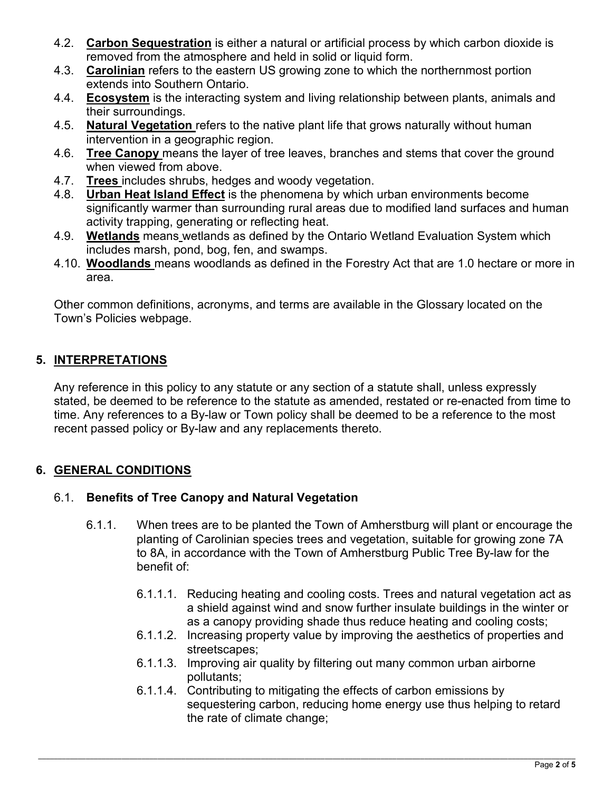- 4.2. **Carbon Sequestration** is either a natural or artificial process by which carbon dioxide is removed from the atmosphere and held in solid or liquid form.
- 4.3. **Carolinian** refers to the eastern US growing zone to which the northernmost portion extends into Southern Ontario.
- 4.4. **Ecosystem** is the interacting system and living relationship between plants, animals and their surroundings.
- 4.5. **Natural Vegetation** refers to the native plant life that grows naturally without human intervention in a geographic region.
- 4.6. **Tree Canopy** means the layer of tree leaves, branches and stems that cover the ground when viewed from above.
- 4.7. **Trees** includes shrubs, hedges and woody vegetation.
- 4.8. **Urban Heat Island Effect** is the phenomena by which urban environments become significantly warmer than surrounding rural areas due to modified land surfaces and human activity trapping, generating or reflecting heat.
- 4.9. **Wetlands** means wetlands as defined by the Ontario Wetland Evaluation System which includes marsh, pond, bog, fen, and swamps.
- 4.10. **Woodlands** means woodlands as defined in the Forestry Act that are 1.0 hectare or more in area.

Other common definitions, acronyms, and terms are available in the Glossary located on the Town's Policies webpage.

# **5. INTERPRETATIONS**

Any reference in this policy to any statute or any section of a statute shall, unless expressly stated, be deemed to be reference to the statute as amended, restated or re-enacted from time to time. Any references to a By-law or Town policy shall be deemed to be a reference to the most recent passed policy or By-law and any replacements thereto.

# **6. GENERAL CONDITIONS**

## 6.1. **Benefits of Tree Canopy and Natural Vegetation**

- 6.1.1. When trees are to be planted the Town of Amherstburg will plant or encourage the planting of Carolinian species trees and vegetation, suitable for growing zone 7A to 8A, in accordance with the Town of Amherstburg Public Tree By-law for the benefit of:
	- 6.1.1.1. Reducing heating and cooling costs. Trees and natural vegetation act as a shield against wind and snow further insulate buildings in the winter or as a canopy providing shade thus reduce heating and cooling costs;
	- 6.1.1.2. Increasing property value by improving the aesthetics of properties and streetscapes;
	- 6.1.1.3. Improving air quality by filtering out many common urban airborne pollutants;
	- 6.1.1.4. Contributing to mitigating the effects of carbon emissions by sequestering carbon, reducing home energy use thus helping to retard the rate of climate change;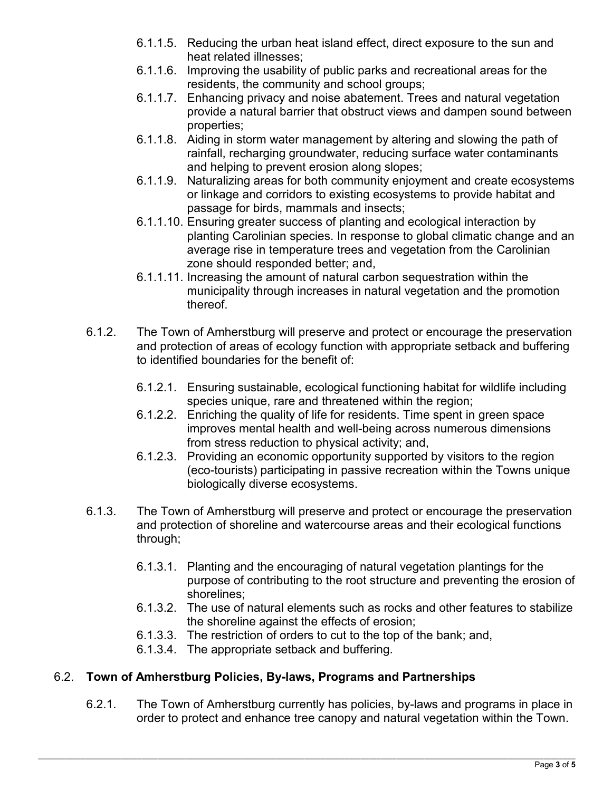- 6.1.1.5. Reducing the urban heat island effect, direct exposure to the sun and heat related illnesses;
- 6.1.1.6. Improving the usability of public parks and recreational areas for the residents, the community and school groups;
- 6.1.1.7. Enhancing privacy and noise abatement. Trees and natural vegetation provide a natural barrier that obstruct views and dampen sound between properties;
- 6.1.1.8. Aiding in storm water management by altering and slowing the path of rainfall, recharging groundwater, reducing surface water contaminants and helping to prevent erosion along slopes;
- 6.1.1.9. Naturalizing areas for both community enjoyment and create ecosystems or linkage and corridors to existing ecosystems to provide habitat and passage for birds, mammals and insects;
- 6.1.1.10. Ensuring greater success of planting and ecological interaction by planting Carolinian species. In response to global climatic change and an average rise in temperature trees and vegetation from the Carolinian zone should responded better; and,
- 6.1.1.11. Increasing the amount of natural carbon sequestration within the municipality through increases in natural vegetation and the promotion thereof.
- 6.1.2. The Town of Amherstburg will preserve and protect or encourage the preservation and protection of areas of ecology function with appropriate setback and buffering to identified boundaries for the benefit of:
	- 6.1.2.1. Ensuring sustainable, ecological functioning habitat for wildlife including species unique, rare and threatened within the region;
	- 6.1.2.2. Enriching the quality of life for residents. Time spent in green space improves mental health and well-being across numerous dimensions from stress reduction to physical activity; and,
	- 6.1.2.3. Providing an economic opportunity supported by visitors to the region (eco-tourists) participating in passive recreation within the Towns unique biologically diverse ecosystems.
- 6.1.3. The Town of Amherstburg will preserve and protect or encourage the preservation and protection of shoreline and watercourse areas and their ecological functions through;
	- 6.1.3.1. Planting and the encouraging of natural vegetation plantings for the purpose of contributing to the root structure and preventing the erosion of shorelines;
	- 6.1.3.2. The use of natural elements such as rocks and other features to stabilize the shoreline against the effects of erosion;
	- 6.1.3.3. The restriction of orders to cut to the top of the bank; and,
	- 6.1.3.4. The appropriate setback and buffering.

## 6.2. **Town of Amherstburg Policies, By-laws, Programs and Partnerships**

6.2.1. The Town of Amherstburg currently has policies, by-laws and programs in place in order to protect and enhance tree canopy and natural vegetation within the Town.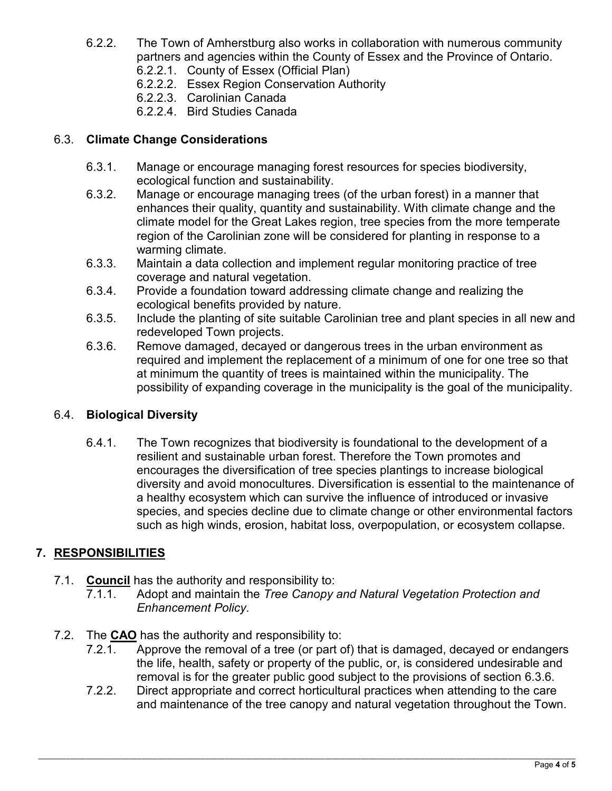- 6.2.2. The Town of Amherstburg also works in collaboration with numerous community partners and agencies within the County of Essex and the Province of Ontario.
	- 6.2.2.1. County of Essex (Official Plan)
	- 6.2.2.2. Essex Region Conservation Authority
	- 6.2.2.3. Carolinian Canada
	- 6.2.2.4. Bird Studies Canada

### 6.3. **Climate Change Considerations**

- 6.3.1. Manage or encourage managing forest resources for species biodiversity, ecological function and sustainability.
- 6.3.2. Manage or encourage managing trees (of the urban forest) in a manner that enhances their quality, quantity and sustainability. With climate change and the climate model for the Great Lakes region, tree species from the more temperate region of the Carolinian zone will be considered for planting in response to a warming climate.
- 6.3.3. Maintain a data collection and implement regular monitoring practice of tree coverage and natural vegetation.
- 6.3.4. Provide a foundation toward addressing climate change and realizing the ecological benefits provided by nature.
- 6.3.5. Include the planting of site suitable Carolinian tree and plant species in all new and redeveloped Town projects.
- 6.3.6. Remove damaged, decayed or dangerous trees in the urban environment as required and implement the replacement of a minimum of one for one tree so that at minimum the quantity of trees is maintained within the municipality. The possibility of expanding coverage in the municipality is the goal of the municipality.

#### 6.4. **Biological Diversity**

6.4.1. The Town recognizes that biodiversity is foundational to the development of a resilient and sustainable urban forest. Therefore the Town promotes and encourages the diversification of tree species plantings to increase biological diversity and avoid monocultures. Diversification is essential to the maintenance of a healthy ecosystem which can survive the influence of introduced or invasive species, and species decline due to climate change or other environmental factors such as high winds, erosion, habitat loss, overpopulation, or ecosystem collapse.

## **7. RESPONSIBILITIES**

- 7.1. **Council** has the authority and responsibility to:
	- 7.1.1. Adopt and maintain the *Tree Canopy and Natural Vegetation Protection and Enhancement Policy*.
- 7.2. The **CAO** has the authority and responsibility to:
	- Approve the removal of a tree (or part of) that is damaged, decayed or endangers the life, health, safety or property of the public, or, is considered undesirable and removal is for the greater public good subject to the provisions of section 6.3.6.
	- 7.2.2. Direct appropriate and correct horticultural practices when attending to the care and maintenance of the tree canopy and natural vegetation throughout the Town.